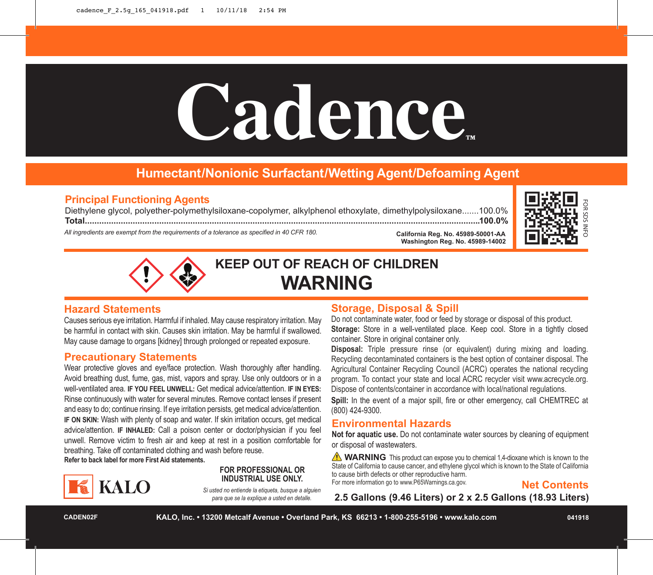# Cadence

# **Humectant/Nonionic Surfactant/Wetting Agent/Defoaming Agent**

# **Principal Functioning Agents**

Diethylene glycol, polyether-polymethylsiloxane-copolymer, alkylphenol ethoxylate, dimethylpolysiloxane.......100.0% **Total.....................................................................................................................................................................100.0%**

*All ingredients are exempt from the requirements of a tolerance as specified in 40 CFR 180.*





**KEEP OUT OF REACH OF CHILDREN WARNING**

# **Hazard Statements**

Causes serious eye irritation. Harmful if inhaled. May cause respiratory irritation. May be harmful in contact with skin. Causes skin irritation. May be harmful if swallowed. May cause damage to organs [kidney] through prolonged or repeated exposure.

# **Precautionary Statements**

Wear protective gloves and eye/face protection. Wash thoroughly after handling. Avoid breathing dust, fume, gas, mist, vapors and spray. Use only outdoors or in a well-ventilated area. **IF YOU FEEL UNWELL:** Get medical advice/attention. **IF IN EYES:** Rinse continuously with water for several minutes. Remove contact lenses if present and easy to do; continue rinsing. If eye irritation persists, get medical advice/attention. **IF ON SKIN:** Wash with plenty of soap and water. If skin irritation occurs, get medical advice/attention. **IF INHALED:** Call a poison center or doctor/physician if you feel unwell. Remove victim to fresh air and keep at rest in a position comfortable for breathing. Take off contaminated clothing and wash before reuse. **Refer to back label for more First Aid statements.**



## **FOR PROFESSIONAL OR INDUSTRIAL USE ONLY.**

*Si usted no entiende la etiqueta, busque a alguien para que se la explique a usted en detalle.*

# **Storage, Disposal & Spill**

Do not contaminate water, food or feed by storage or disposal of this product. **Storage:** Store in a well-ventilated place. Keep cool. Store in a tightly closed container. Store in original container only.

**California Reg. No. 45989-50001-AA**

**Washington Reg. No. 45989-14002**

**Disposal:** Triple pressure rinse (or equivalent) during mixing and loading. Recycling decontaminated containers is the best option of container disposal. The Agricultural Container Recycling Council (ACRC) operates the national recycling program. To contact your state and local ACRC recycler visit www.acrecycle.org. Dispose of contents/container in accordance with local/national regulations.

**Spill:** In the event of a major spill, fire or other emergency, call CHEMTREC at (800) 424-9300.

# **Environmental Hazards**

**Not for aquatic use.** Do not contaminate water sources by cleaning of equipment or disposal of wastewaters.

**NARNING** This product can expose you to chemical 1,4-dioxane which is known to the State of California to cause cancer, and ethylene glycol which is known to the State of California to cause birth defects or other reproductive harm. For more information go to www.P65Warnings.ca.gov.

**Net Contents**

**2.5 Gallons (9.46 Liters) or 2 x 2.5 Gallons (18.93 Liters)**

**CADEN02F KALO, Inc. • 13200 Metcalf Avenue • Overland Park, KS 66213 • 1-800-255-5196 • www.kalo.com 041918**